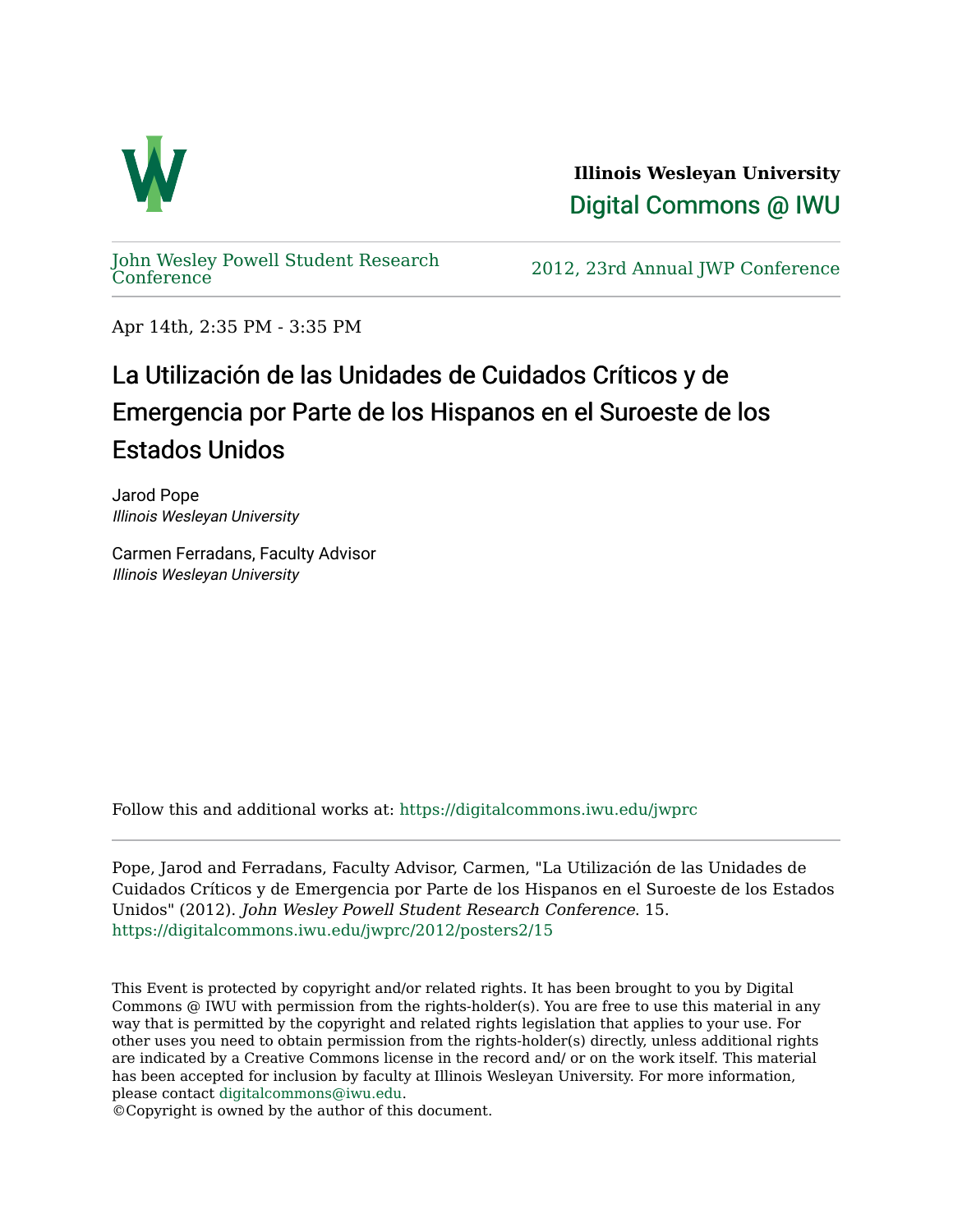

**Illinois Wesleyan University**  [Digital Commons @ IWU](https://digitalcommons.iwu.edu/) 

[John Wesley Powell Student Research](https://digitalcommons.iwu.edu/jwprc) 

2012, 23rd Annual JWP [Conference](https://digitalcommons.iwu.edu/jwprc)

Apr 14th, 2:35 PM - 3:35 PM

## La Utilización de las Unidades de Cuidados Críticos y de Emergencia por Parte de los Hispanos en el Suroeste de los Estados Unidos

Jarod Pope Illinois Wesleyan University

Carmen Ferradans, Faculty Advisor Illinois Wesleyan University

Follow this and additional works at: [https://digitalcommons.iwu.edu/jwprc](https://digitalcommons.iwu.edu/jwprc?utm_source=digitalcommons.iwu.edu%2Fjwprc%2F2012%2Fposters2%2F15&utm_medium=PDF&utm_campaign=PDFCoverPages) 

Pope, Jarod and Ferradans, Faculty Advisor, Carmen, "La Utilización de las Unidades de Cuidados Críticos y de Emergencia por Parte de los Hispanos en el Suroeste de los Estados Unidos" (2012). John Wesley Powell Student Research Conference. 15. [https://digitalcommons.iwu.edu/jwprc/2012/posters2/15](https://digitalcommons.iwu.edu/jwprc/2012/posters2/15?utm_source=digitalcommons.iwu.edu%2Fjwprc%2F2012%2Fposters2%2F15&utm_medium=PDF&utm_campaign=PDFCoverPages) 

This Event is protected by copyright and/or related rights. It has been brought to you by Digital Commons @ IWU with permission from the rights-holder(s). You are free to use this material in any way that is permitted by the copyright and related rights legislation that applies to your use. For other uses you need to obtain permission from the rights-holder(s) directly, unless additional rights are indicated by a Creative Commons license in the record and/ or on the work itself. This material has been accepted for inclusion by faculty at Illinois Wesleyan University. For more information, please contact [digitalcommons@iwu.edu.](mailto:digitalcommons@iwu.edu)

©Copyright is owned by the author of this document.